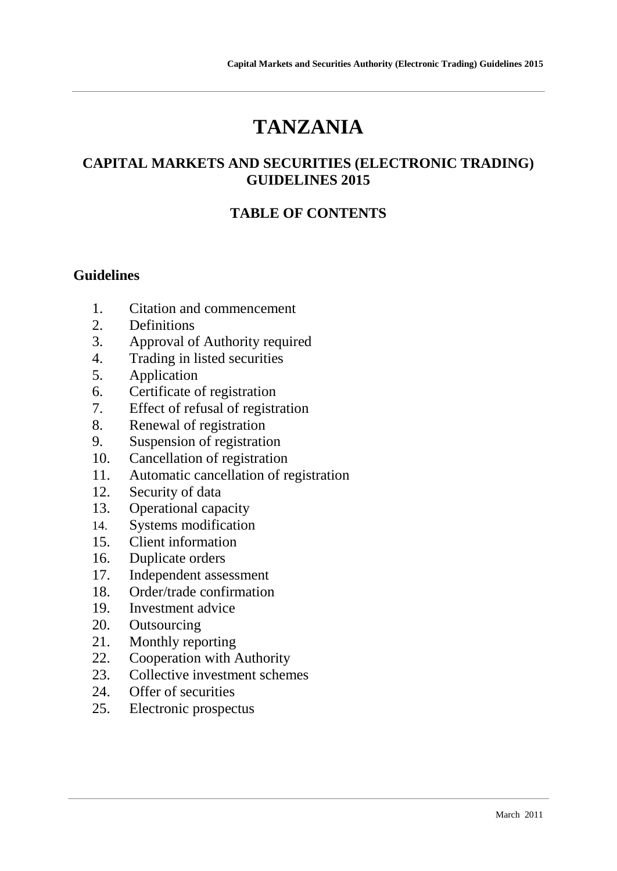# **TANZANIA**

#### **CAPITAL MARKETS AND SECURITIES (ELECTRONIC TRADING) GUIDELINES 2015**

#### **TABLE OF CONTENTS**

#### **Guidelines**

- 1. Citation and commencement
- 2. Definitions
- 3. Approval of Authority required
- 4. Trading in listed securities
- 5. Application
- 6. Certificate of registration
- 7. Effect of refusal of registration
- 8. Renewal of registration
- 9. Suspension of registration
- 10. Cancellation of registration
- 11. Automatic cancellation of registration
- 12. Security of data
- 13. Operational capacity
- 14. Systems modification
- 15. Client information
- 16. Duplicate orders
- 17. Independent assessment
- 18. Order/trade confirmation
- 19. Investment advice
- 20. Outsourcing
- 21. Monthly reporting
- 22. Cooperation with Authority
- 23. Collective investment schemes
- 24. Offer of securities
- 25. Electronic prospectus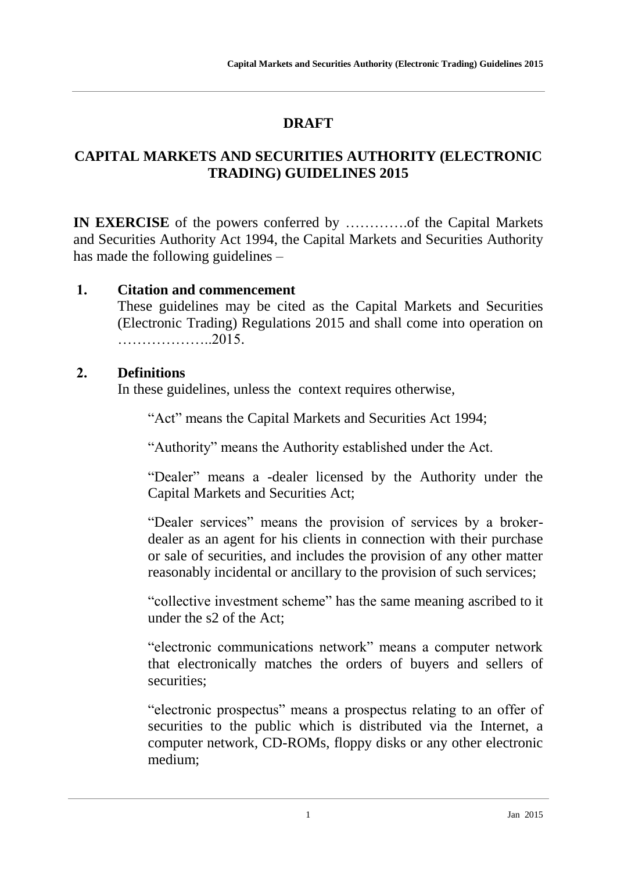# **DRAFT**

## **CAPITAL MARKETS AND SECURITIES AUTHORITY (ELECTRONIC TRADING) GUIDELINES 2015**

**IN EXERCISE** of the powers conferred by ………….of the Capital Markets and Securities Authority Act 1994, the Capital Markets and Securities Authority has made the following guidelines –

#### **1. Citation and commencement**

These guidelines may be cited as the Capital Markets and Securities (Electronic Trading) Regulations 2015 and shall come into operation on ………………..2015.

## **2. Definitions**

In these guidelines, unless the context requires otherwise,

"Act" means the Capital Markets and Securities Act 1994;

"Authority" means the Authority established under the Act.

"Dealer" means a -dealer licensed by the Authority under the Capital Markets and Securities Act;

"Dealer services" means the provision of services by a brokerdealer as an agent for his clients in connection with their purchase or sale of securities, and includes the provision of any other matter reasonably incidental or ancillary to the provision of such services;

"collective investment scheme" has the same meaning ascribed to it under the s2 of the Act;

"electronic communications network" means a computer network that electronically matches the orders of buyers and sellers of securities;

"electronic prospectus" means a prospectus relating to an offer of securities to the public which is distributed via the Internet, a computer network, CD-ROMs, floppy disks or any other electronic medium;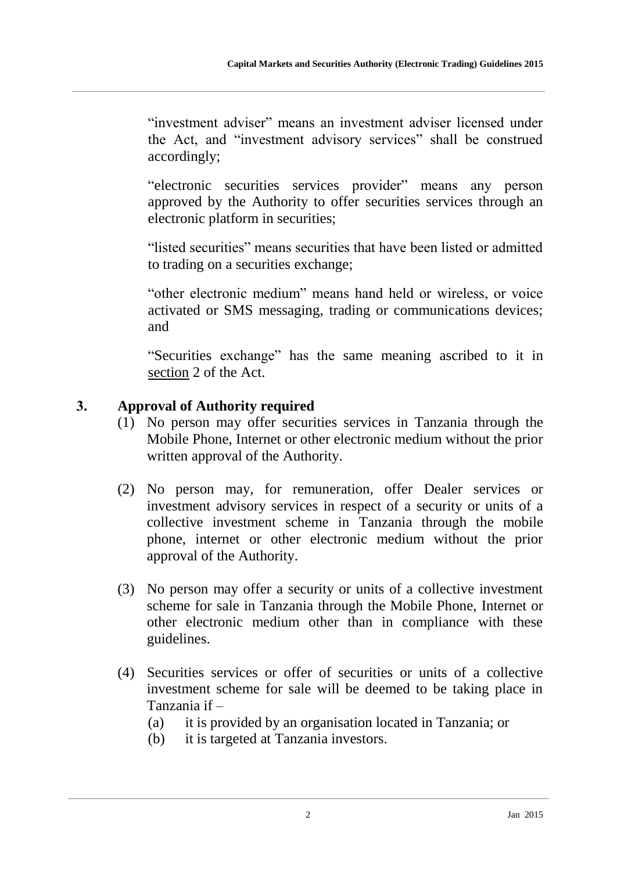"investment adviser" means an investment adviser licensed under the Act, and "investment advisory services" shall be construed accordingly;

"electronic securities services provider" means any person approved by the Authority to offer securities services through an electronic platform in securities;

"listed securities" means securities that have been listed or admitted to trading on a securities exchange;

"other electronic medium" means hand held or wireless, or voice activated or SMS messaging, trading or communications devices; and

"Securities exchange" has the same meaning ascribed to it in section 2 of the Act.

## **3. Approval of Authority required**

- (1) No person may offer securities services in Tanzania through the Mobile Phone, Internet or other electronic medium without the prior written approval of the Authority.
- (2) No person may, for remuneration, offer Dealer services or investment advisory services in respect of a security or units of a collective investment scheme in Tanzania through the mobile phone, internet or other electronic medium without the prior approval of the Authority.
- (3) No person may offer a security or units of a collective investment scheme for sale in Tanzania through the Mobile Phone, Internet or other electronic medium other than in compliance with these guidelines.
- (4) Securities services or offer of securities or units of a collective investment scheme for sale will be deemed to be taking place in Tanzania if –

(a) it is provided by an organisation located in Tanzania; or

(b) it is targeted at Tanzania investors.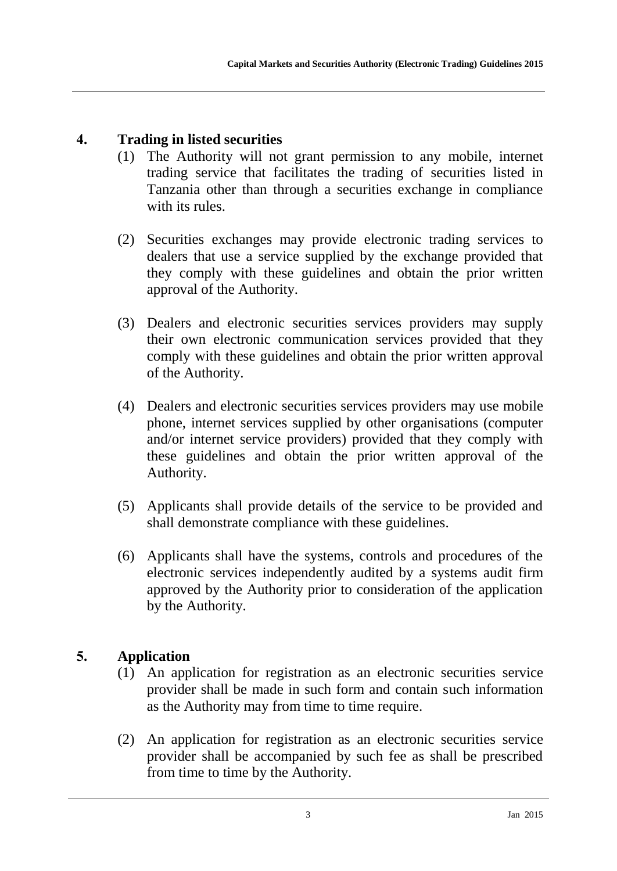## **4. Trading in listed securities**

- (1) The Authority will not grant permission to any mobile, internet trading service that facilitates the trading of securities listed in Tanzania other than through a securities exchange in compliance with its rules.
- (2) Securities exchanges may provide electronic trading services to dealers that use a service supplied by the exchange provided that they comply with these guidelines and obtain the prior written approval of the Authority.
- (3) Dealers and electronic securities services providers may supply their own electronic communication services provided that they comply with these guidelines and obtain the prior written approval of the Authority.
- (4) Dealers and electronic securities services providers may use mobile phone, internet services supplied by other organisations (computer and/or internet service providers) provided that they comply with these guidelines and obtain the prior written approval of the Authority.
- (5) Applicants shall provide details of the service to be provided and shall demonstrate compliance with these guidelines.
- (6) Applicants shall have the systems, controls and procedures of the electronic services independently audited by a systems audit firm approved by the Authority prior to consideration of the application by the Authority.

## **5. Application**

- (1) An application for registration as an electronic securities service provider shall be made in such form and contain such information as the Authority may from time to time require.
- (2) An application for registration as an electronic securities service provider shall be accompanied by such fee as shall be prescribed from time to time by the Authority.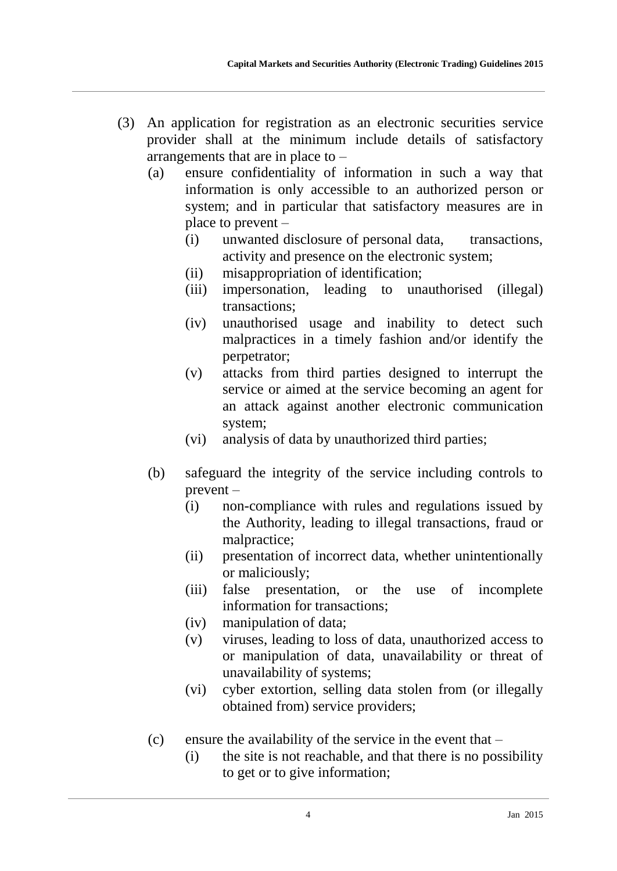- (3) An application for registration as an electronic securities service provider shall at the minimum include details of satisfactory arrangements that are in place to –
	- (a) ensure confidentiality of information in such a way that information is only accessible to an authorized person or system; and in particular that satisfactory measures are in place to prevent –
		- (i) unwanted disclosure of personal data, transactions, activity and presence on the electronic system;
		- (ii) misappropriation of identification;
		- (iii) impersonation, leading to unauthorised (illegal) transactions;
		- (iv) unauthorised usage and inability to detect such malpractices in a timely fashion and/or identify the perpetrator;
		- (v) attacks from third parties designed to interrupt the service or aimed at the service becoming an agent for an attack against another electronic communication system;
		- (vi) analysis of data by unauthorized third parties;
	- (b) safeguard the integrity of the service including controls to prevent –
		- (i) non-compliance with rules and regulations issued by the Authority, leading to illegal transactions, fraud or malpractice;
		- (ii) presentation of incorrect data, whether unintentionally or maliciously;
		- (iii) false presentation, or the use of incomplete information for transactions;
		- (iv) manipulation of data;
		- (v) viruses, leading to loss of data, unauthorized access to or manipulation of data, unavailability or threat of unavailability of systems;
		- (vi) cyber extortion, selling data stolen from (or illegally obtained from) service providers;
	- (c) ensure the availability of the service in the event that
		- (i) the site is not reachable, and that there is no possibility to get or to give information;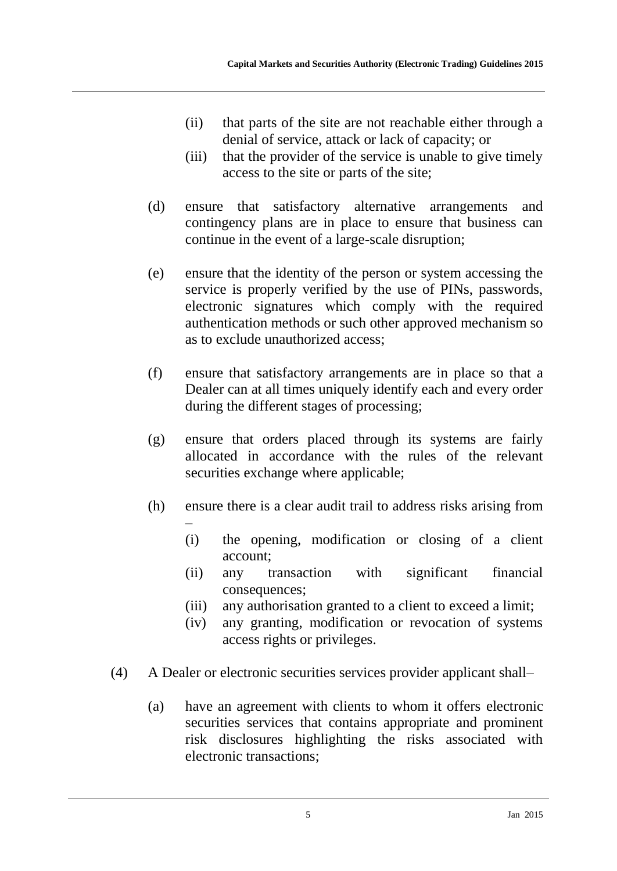- (ii) that parts of the site are not reachable either through a denial of service, attack or lack of capacity; or
- (iii) that the provider of the service is unable to give timely access to the site or parts of the site;
- (d) ensure that satisfactory alternative arrangements and contingency plans are in place to ensure that business can continue in the event of a large-scale disruption;
- (e) ensure that the identity of the person or system accessing the service is properly verified by the use of PINs, passwords, electronic signatures which comply with the required authentication methods or such other approved mechanism so as to exclude unauthorized access;
- (f) ensure that satisfactory arrangements are in place so that a Dealer can at all times uniquely identify each and every order during the different stages of processing;
- (g) ensure that orders placed through its systems are fairly allocated in accordance with the rules of the relevant securities exchange where applicable;
- (h) ensure there is a clear audit trail to address risks arising from
	- (i) the opening, modification or closing of a client account;
	- (ii) any transaction with significant financial consequences;
	- (iii) any authorisation granted to a client to exceed a limit;
	- (iv) any granting, modification or revocation of systems access rights or privileges.
- (4) A Dealer or electronic securities services provider applicant shall–
	- (a) have an agreement with clients to whom it offers electronic securities services that contains appropriate and prominent risk disclosures highlighting the risks associated with electronic transactions;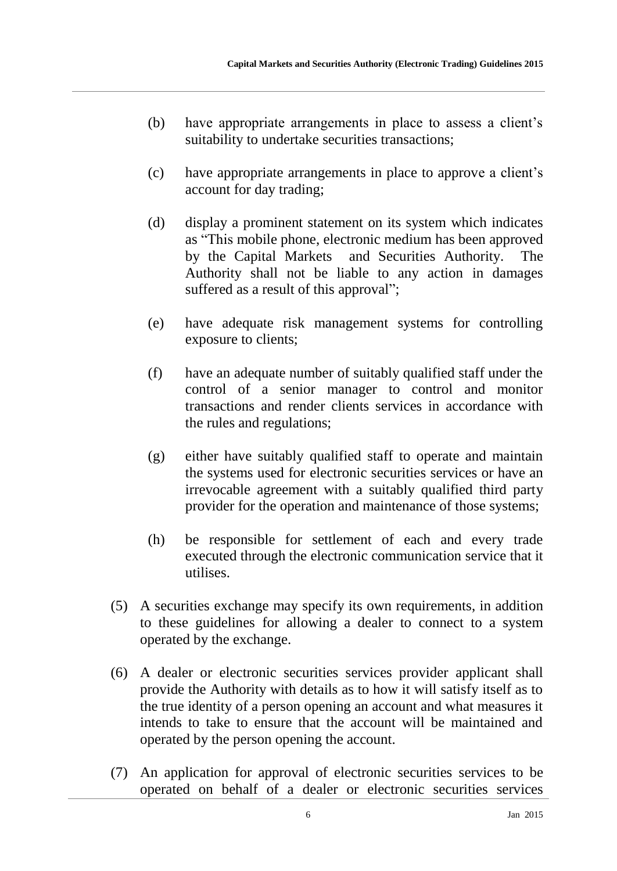- (b) have appropriate arrangements in place to assess a client's suitability to undertake securities transactions;
- (c) have appropriate arrangements in place to approve a client's account for day trading;
- (d) display a prominent statement on its system which indicates as "This mobile phone, electronic medium has been approved by the Capital Markets and Securities Authority. The Authority shall not be liable to any action in damages suffered as a result of this approval":
- (e) have adequate risk management systems for controlling exposure to clients;
- (f) have an adequate number of suitably qualified staff under the control of a senior manager to control and monitor transactions and render clients services in accordance with the rules and regulations;
- (g) either have suitably qualified staff to operate and maintain the systems used for electronic securities services or have an irrevocable agreement with a suitably qualified third party provider for the operation and maintenance of those systems;
- (h) be responsible for settlement of each and every trade executed through the electronic communication service that it utilises.
- (5) A securities exchange may specify its own requirements, in addition to these guidelines for allowing a dealer to connect to a system operated by the exchange.
- (6) A dealer or electronic securities services provider applicant shall provide the Authority with details as to how it will satisfy itself as to the true identity of a person opening an account and what measures it intends to take to ensure that the account will be maintained and operated by the person opening the account.
- (7) An application for approval of electronic securities services to be operated on behalf of a dealer or electronic securities services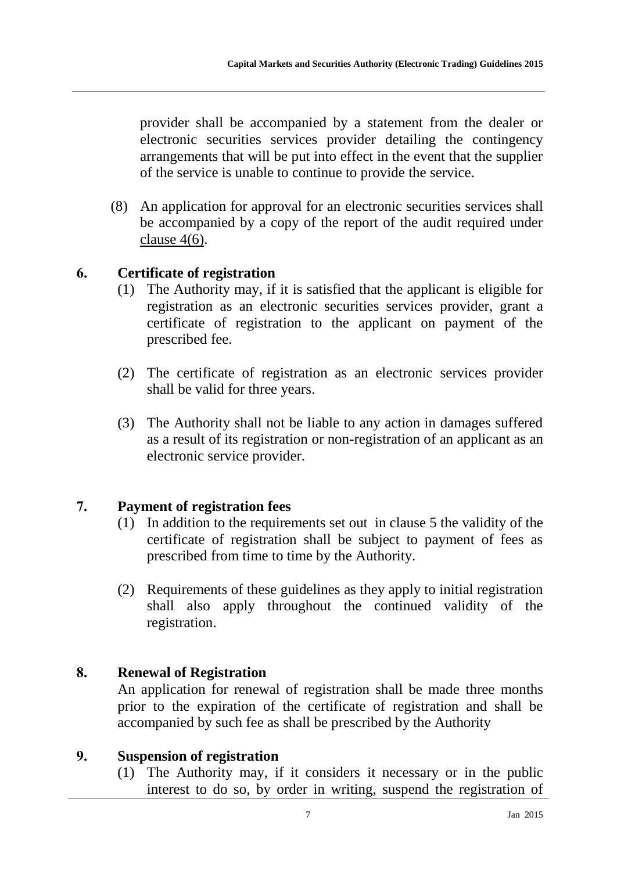provider shall be accompanied by a statement from the dealer or electronic securities services provider detailing the contingency arrangements that will be put into effect in the event that the supplier of the service is unable to continue to provide the service.

(8) An application for approval for an electronic securities services shall be accompanied by a copy of the report of the audit required under clause 4(6).

#### **6. Certificate of registration**

- (1) The Authority may, if it is satisfied that the applicant is eligible for registration as an electronic securities services provider, grant a certificate of registration to the applicant on payment of the prescribed fee.
- (2) The certificate of registration as an electronic services provider shall be valid for three years.
- (3) The Authority shall not be liable to any action in damages suffered as a result of its registration or non-registration of an applicant as an electronic service provider.

#### **7. Payment of registration fees**

- (1) In addition to the requirements set out in clause 5 the validity of the certificate of registration shall be subject to payment of fees as prescribed from time to time by the Authority.
- (2) Requirements of these guidelines as they apply to initial registration shall also apply throughout the continued validity of the registration.

#### **8. Renewal of Registration**

An application for renewal of registration shall be made three months prior to the expiration of the certificate of registration and shall be accompanied by such fee as shall be prescribed by the Authority

#### **9. Suspension of registration**

(1) The Authority may, if it considers it necessary or in the public interest to do so, by order in writing, suspend the registration of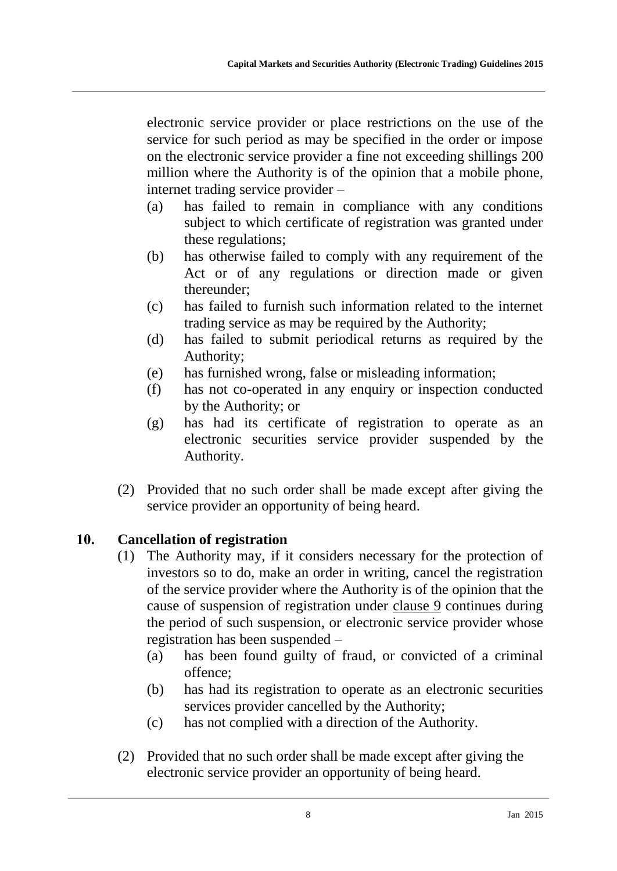electronic service provider or place restrictions on the use of the service for such period as may be specified in the order or impose on the electronic service provider a fine not exceeding shillings 200 million where the Authority is of the opinion that a mobile phone, internet trading service provider –

- (a) has failed to remain in compliance with any conditions subject to which certificate of registration was granted under these regulations;
- (b) has otherwise failed to comply with any requirement of the Act or of any regulations or direction made or given thereunder;
- (c) has failed to furnish such information related to the internet trading service as may be required by the Authority;
- (d) has failed to submit periodical returns as required by the Authority;
- (e) has furnished wrong, false or misleading information;
- (f) has not co-operated in any enquiry or inspection conducted by the Authority; or
- (g) has had its certificate of registration to operate as an electronic securities service provider suspended by the Authority.
- (2) Provided that no such order shall be made except after giving the service provider an opportunity of being heard.

## **10. Cancellation of registration**

- (1) The Authority may, if it considers necessary for the protection of investors so to do, make an order in writing, cancel the registration of the service provider where the Authority is of the opinion that the cause of suspension of registration under clause 9 continues during the period of such suspension, or electronic service provider whose registration has been suspended –
	- (a) has been found guilty of fraud, or convicted of a criminal offence;
	- (b) has had its registration to operate as an electronic securities services provider cancelled by the Authority;
	- (c) has not complied with a direction of the Authority.
- (2) Provided that no such order shall be made except after giving the electronic service provider an opportunity of being heard.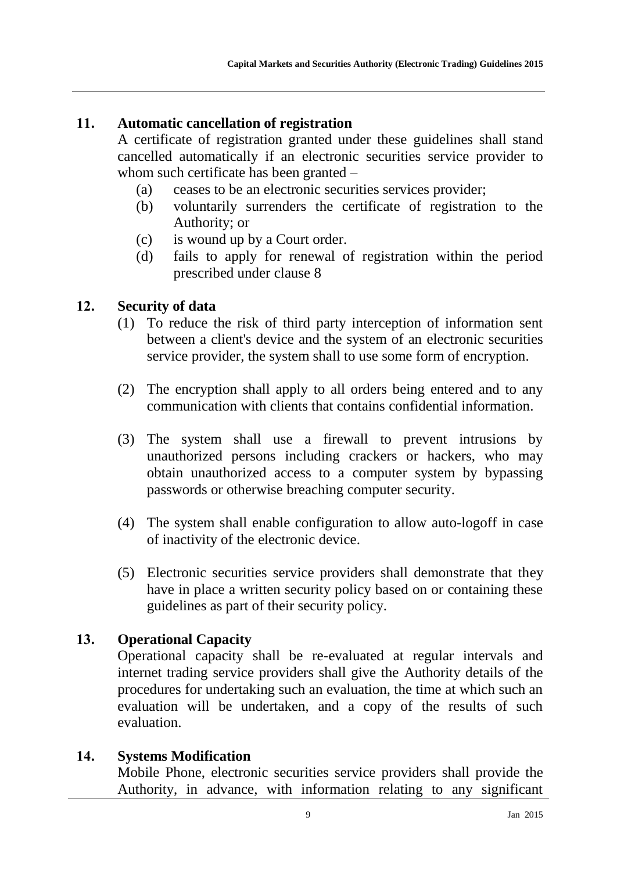#### **11. Automatic cancellation of registration**

A certificate of registration granted under these guidelines shall stand cancelled automatically if an electronic securities service provider to whom such certificate has been granted –

- (a) ceases to be an electronic securities services provider;
- (b) voluntarily surrenders the certificate of registration to the Authority; or
- (c) is wound up by a Court order.
- (d) fails to apply for renewal of registration within the period prescribed under clause 8

#### **12. Security of data**

- (1) To reduce the risk of third party interception of information sent between a client's device and the system of an electronic securities service provider, the system shall to use some form of encryption.
- (2) The encryption shall apply to all orders being entered and to any communication with clients that contains confidential information.
- (3) The system shall use a firewall to prevent intrusions by unauthorized persons including crackers or hackers, who may obtain unauthorized access to a computer system by bypassing passwords or otherwise breaching computer security.
- (4) The system shall enable configuration to allow auto-logoff in case of inactivity of the electronic device.
- (5) Electronic securities service providers shall demonstrate that they have in place a written security policy based on or containing these guidelines as part of their security policy.

#### **13. Operational Capacity**

Operational capacity shall be re-evaluated at regular intervals and internet trading service providers shall give the Authority details of the procedures for undertaking such an evaluation, the time at which such an evaluation will be undertaken, and a copy of the results of such evaluation.

#### **14. Systems Modification**

Mobile Phone, electronic securities service providers shall provide the Authority, in advance, with information relating to any significant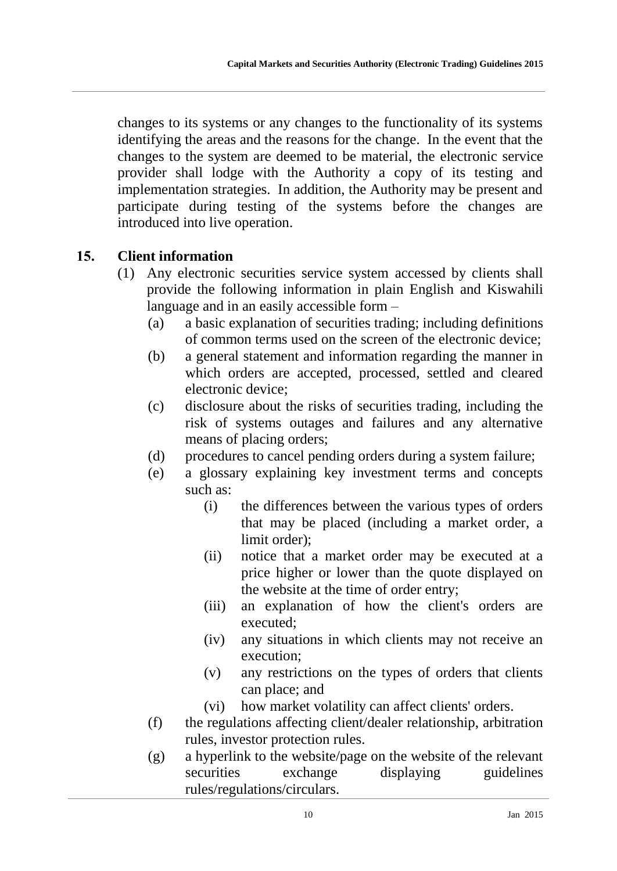changes to its systems or any changes to the functionality of its systems identifying the areas and the reasons for the change. In the event that the changes to the system are deemed to be material, the electronic service provider shall lodge with the Authority a copy of its testing and implementation strategies. In addition, the Authority may be present and participate during testing of the systems before the changes are introduced into live operation.

#### **15. Client information**

- (1) Any electronic securities service system accessed by clients shall provide the following information in plain English and Kiswahili language and in an easily accessible form –
	- (a) a basic explanation of securities trading; including definitions of common terms used on the screen of the electronic device;
	- (b) a general statement and information regarding the manner in which orders are accepted, processed, settled and cleared electronic device;
	- (c) disclosure about the risks of securities trading, including the risk of systems outages and failures and any alternative means of placing orders;
	- (d) procedures to cancel pending orders during a system failure;
	- (e) a glossary explaining key investment terms and concepts such as:
		- (i) the differences between the various types of orders that may be placed (including a market order, a limit order);
		- (ii) notice that a market order may be executed at a price higher or lower than the quote displayed on the website at the time of order entry;
		- (iii) an explanation of how the client's orders are executed;
		- (iv) any situations in which clients may not receive an execution;
		- (v) any restrictions on the types of orders that clients can place; and
		- (vi) how market volatility can affect clients' orders.
	- (f) the regulations affecting client/dealer relationship, arbitration rules, investor protection rules.
	- (g) a hyperlink to the website/page on the website of the relevant securities exchange displaying guidelines rules/regulations/circulars.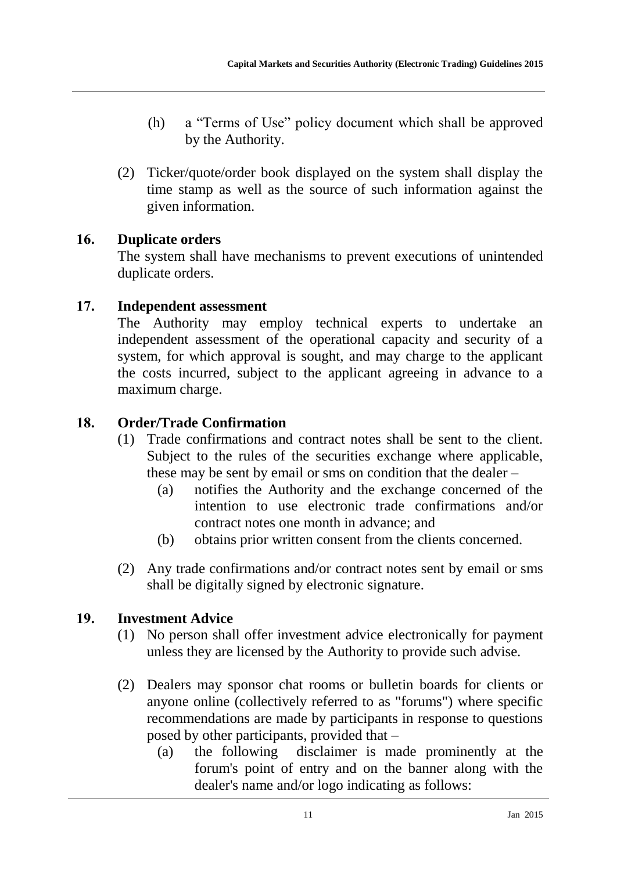- (h) a "Terms of Use" policy document which shall be approved by the Authority.
- (2) Ticker/quote/order book displayed on the system shall display the time stamp as well as the source of such information against the given information.

## **16. Duplicate orders**

The system shall have mechanisms to prevent executions of unintended duplicate orders.

## **17. Independent assessment**

The Authority may employ technical experts to undertake an independent assessment of the operational capacity and security of a system, for which approval is sought, and may charge to the applicant the costs incurred, subject to the applicant agreeing in advance to a maximum charge.

## **18. Order/Trade Confirmation**

- (1) Trade confirmations and contract notes shall be sent to the client. Subject to the rules of the securities exchange where applicable, these may be sent by email or sms on condition that the dealer –
	- (a) notifies the Authority and the exchange concerned of the intention to use electronic trade confirmations and/or contract notes one month in advance; and
	- (b) obtains prior written consent from the clients concerned.
- (2) Any trade confirmations and/or contract notes sent by email or sms shall be digitally signed by electronic signature.

## **19. Investment Advice**

- (1) No person shall offer investment advice electronically for payment unless they are licensed by the Authority to provide such advise.
- (2) Dealers may sponsor chat rooms or bulletin boards for clients or anyone online (collectively referred to as "forums") where specific recommendations are made by participants in response to questions posed by other participants, provided that –
	- (a) the following disclaimer is made prominently at the forum's point of entry and on the banner along with the dealer's name and/or logo indicating as follows: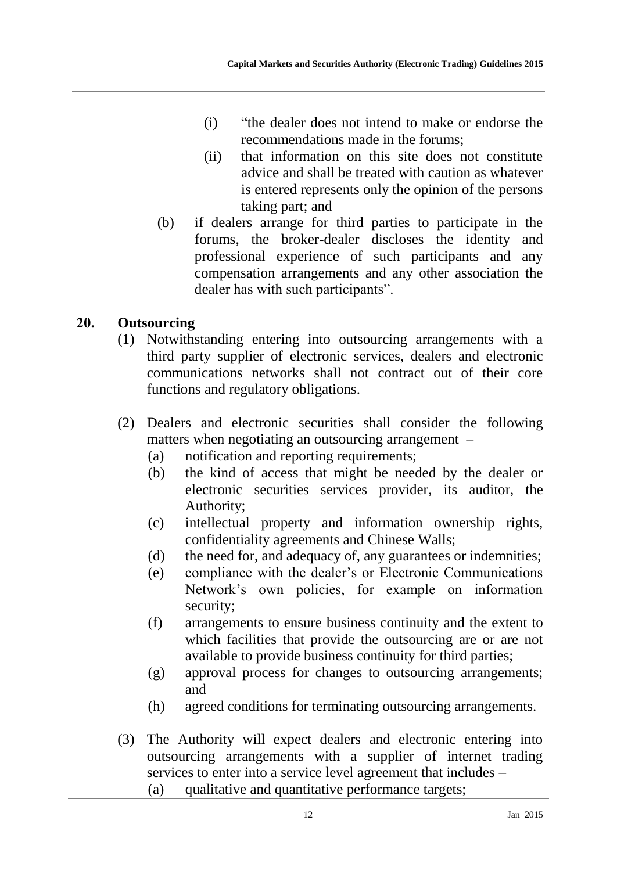- (i) "the dealer does not intend to make or endorse the recommendations made in the forums;
- (ii) that information on this site does not constitute advice and shall be treated with caution as whatever is entered represents only the opinion of the persons taking part; and
- (b) if dealers arrange for third parties to participate in the forums, the broker-dealer discloses the identity and professional experience of such participants and any compensation arrangements and any other association the dealer has with such participants".

## **20. Outsourcing**

- (1) Notwithstanding entering into outsourcing arrangements with a third party supplier of electronic services, dealers and electronic communications networks shall not contract out of their core functions and regulatory obligations.
- (2) Dealers and electronic securities shall consider the following matters when negotiating an outsourcing arrangement –
	- (a) notification and reporting requirements;
	- (b) the kind of access that might be needed by the dealer or electronic securities services provider, its auditor, the Authority;
	- (c) intellectual property and information ownership rights, confidentiality agreements and Chinese Walls;
	- (d) the need for, and adequacy of, any guarantees or indemnities;
	- (e) compliance with the dealer's or Electronic Communications Network's own policies, for example on information security;
	- (f) arrangements to ensure business continuity and the extent to which facilities that provide the outsourcing are or are not available to provide business continuity for third parties;
	- (g) approval process for changes to outsourcing arrangements; and
	- (h) agreed conditions for terminating outsourcing arrangements.
- (3) The Authority will expect dealers and electronic entering into outsourcing arrangements with a supplier of internet trading services to enter into a service level agreement that includes –
	- (a) qualitative and quantitative performance targets;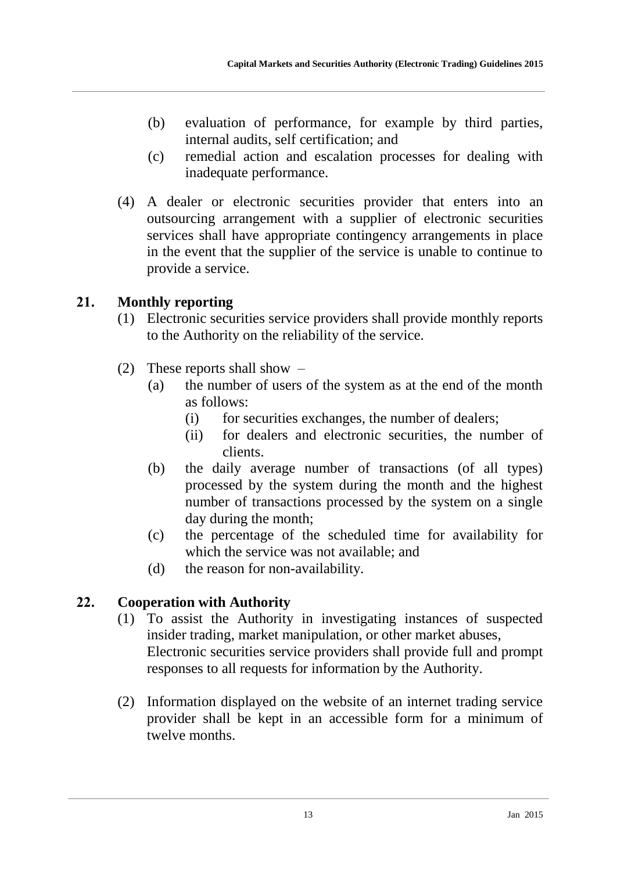- (b) evaluation of performance, for example by third parties, internal audits, self certification; and
- (c) remedial action and escalation processes for dealing with inadequate performance.
- (4) A dealer or electronic securities provider that enters into an outsourcing arrangement with a supplier of electronic securities services shall have appropriate contingency arrangements in place in the event that the supplier of the service is unable to continue to provide a service.

## **21. Monthly reporting**

- (1) Electronic securities service providers shall provide monthly reports to the Authority on the reliability of the service.
- (2) These reports shall show
	- (a) the number of users of the system as at the end of the month as follows:
		- (i) for securities exchanges, the number of dealers;
		- (ii) for dealers and electronic securities, the number of clients.
	- (b) the daily average number of transactions (of all types) processed by the system during the month and the highest number of transactions processed by the system on a single day during the month;
	- (c) the percentage of the scheduled time for availability for which the service was not available; and
	- (d) the reason for non-availability.

## **22. Cooperation with Authority**

- (1) To assist the Authority in investigating instances of suspected insider trading, market manipulation, or other market abuses, Electronic securities service providers shall provide full and prompt responses to all requests for information by the Authority.
- (2) Information displayed on the website of an internet trading service provider shall be kept in an accessible form for a minimum of twelve months.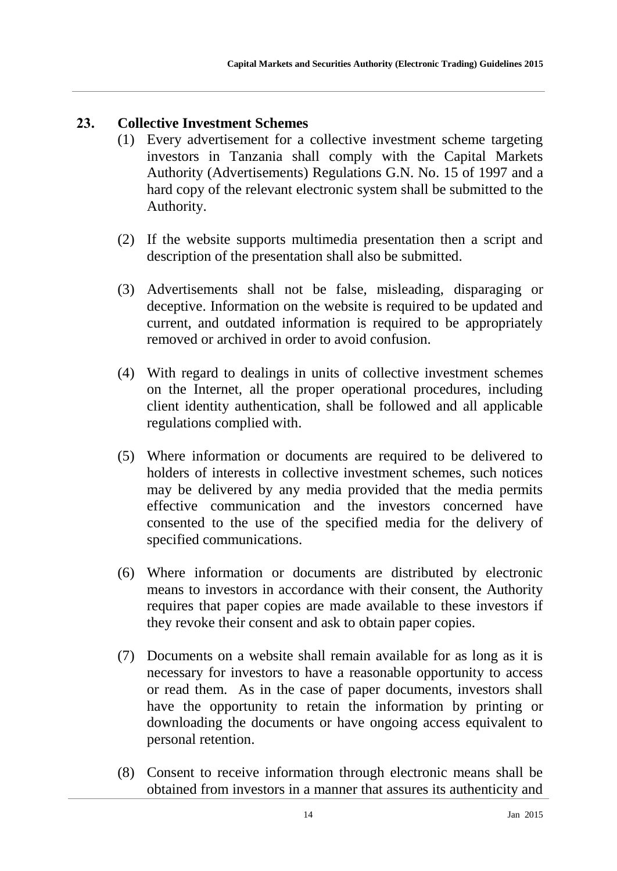## **23. Collective Investment Schemes**

- (1) Every advertisement for a collective investment scheme targeting investors in Tanzania shall comply with the Capital Markets Authority (Advertisements) Regulations G.N. No. 15 of 1997 and a hard copy of the relevant electronic system shall be submitted to the Authority.
- (2) If the website supports multimedia presentation then a script and description of the presentation shall also be submitted.
- (3) Advertisements shall not be false, misleading, disparaging or deceptive. Information on the website is required to be updated and current, and outdated information is required to be appropriately removed or archived in order to avoid confusion.
- (4) With regard to dealings in units of collective investment schemes on the Internet, all the proper operational procedures, including client identity authentication, shall be followed and all applicable regulations complied with.
- (5) Where information or documents are required to be delivered to holders of interests in collective investment schemes, such notices may be delivered by any media provided that the media permits effective communication and the investors concerned have consented to the use of the specified media for the delivery of specified communications.
- (6) Where information or documents are distributed by electronic means to investors in accordance with their consent, the Authority requires that paper copies are made available to these investors if they revoke their consent and ask to obtain paper copies.
- (7) Documents on a website shall remain available for as long as it is necessary for investors to have a reasonable opportunity to access or read them. As in the case of paper documents, investors shall have the opportunity to retain the information by printing or downloading the documents or have ongoing access equivalent to personal retention.
- (8) Consent to receive information through electronic means shall be obtained from investors in a manner that assures its authenticity and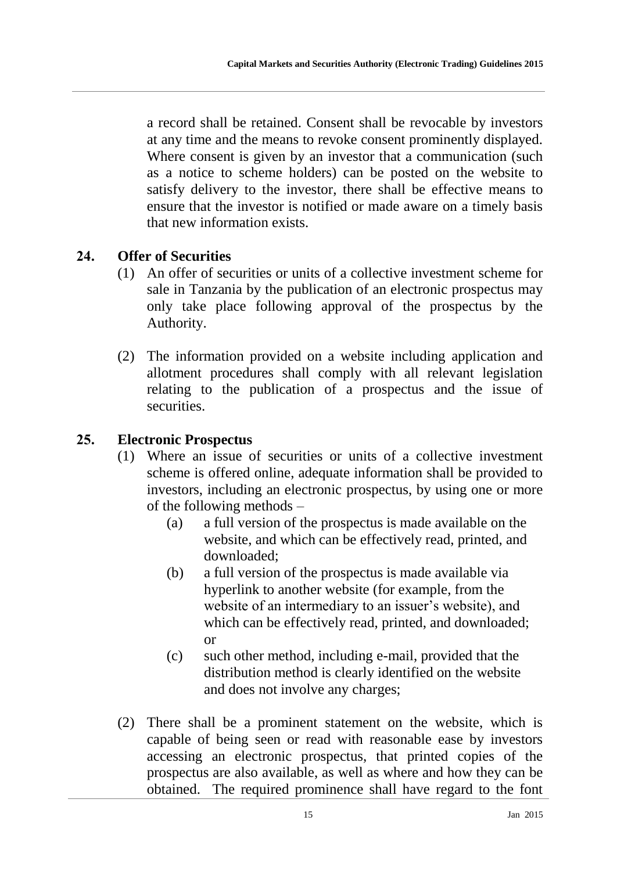a record shall be retained. Consent shall be revocable by investors at any time and the means to revoke consent prominently displayed. Where consent is given by an investor that a communication (such as a notice to scheme holders) can be posted on the website to satisfy delivery to the investor, there shall be effective means to ensure that the investor is notified or made aware on a timely basis that new information exists.

#### **24. Offer of Securities**

- (1) An offer of securities or units of a collective investment scheme for sale in Tanzania by the publication of an electronic prospectus may only take place following approval of the prospectus by the Authority.
- (2) The information provided on a website including application and allotment procedures shall comply with all relevant legislation relating to the publication of a prospectus and the issue of securities.

#### **25. Electronic Prospectus**

- (1) Where an issue of securities or units of a collective investment scheme is offered online, adequate information shall be provided to investors, including an electronic prospectus, by using one or more of the following methods –
	- (a) a full version of the prospectus is made available on the website, and which can be effectively read, printed, and downloaded;
	- (b) a full version of the prospectus is made available via hyperlink to another website (for example, from the website of an intermediary to an issuer's website), and which can be effectively read, printed, and downloaded; or
	- (c) such other method, including e-mail, provided that the distribution method is clearly identified on the website and does not involve any charges;
- (2) There shall be a prominent statement on the website, which is capable of being seen or read with reasonable ease by investors accessing an electronic prospectus, that printed copies of the prospectus are also available, as well as where and how they can be obtained. The required prominence shall have regard to the font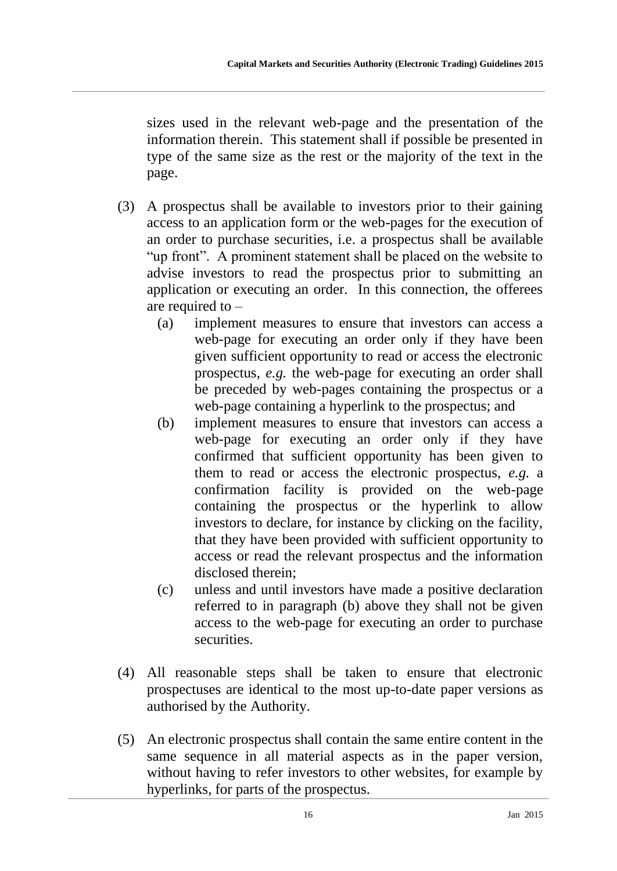sizes used in the relevant web-page and the presentation of the information therein. This statement shall if possible be presented in type of the same size as the rest or the majority of the text in the page.

- <span id="page-16-0"></span>(3) A prospectus shall be available to investors prior to their gaining access to an application form or the web-pages for the execution of an order to purchase securities, i.e. a prospectus shall be available "up front". A prominent statement shall be placed on the website to advise investors to read the prospectus prior to submitting an application or executing an order. In this connection, the offerees are required to –
	- (a) implement measures to ensure that investors can access a web-page for executing an order only if they have been given sufficient opportunity to read or access the electronic prospectus, *e.g.* the web-page for executing an order shall be preceded by web-pages containing the prospectus or a web-page containing a hyperlink to the prospectus; and
	- (b) implement measures to ensure that investors can access a web-page for executing an order only if they have confirmed that sufficient opportunity has been given to them to read or access the electronic prospectus, *e.g.* a confirmation facility is provided on the web-page containing the prospectus or the hyperlink to allow investors to declare, for instance by clicking on the facility, that they have been provided with sufficient opportunity to access or read the relevant prospectus and the information disclosed therein;
	- (c) unless and until investors have made a positive declaration referred to in paragraph [\(b\)](#page-16-0) above they shall not be given access to the web-page for executing an order to purchase securities.
- (4) All reasonable steps shall be taken to ensure that electronic prospectuses are identical to the most up-to-date paper versions as authorised by the Authority.
- <span id="page-16-1"></span>(5) An electronic prospectus shall contain the same entire content in the same sequence in all material aspects as in the paper version, without having to refer investors to other websites, for example by hyperlinks, for parts of the prospectus.